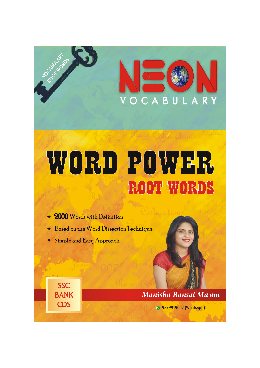

# WORD POWER ROOT WORDS

- + 2000 Words with Definition
- + Based on the Word Dissection Technique
- + Simple and Easy Approach

**SSC** 

**BANK** 

**CDS** 

Manisha Bansal Ma'am

**9: 9529949007 (WhatsApp)**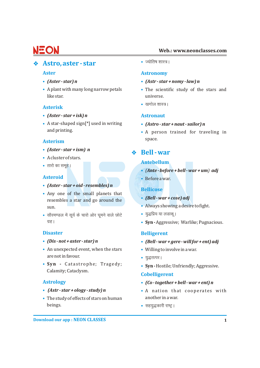#### **Web.: www.neonclasses.com**

### v **Astr** • **o, aster - star**

- $(Aster-star)$ n
- A plant with many long narrow petals like star. universe.

### **Asterisk**

- **Astronaut** *(Aster star + isk) n*
- A star-shaped sign[\*] used in writing **(Astro star + naut sailor) n**

### **Asterism**

- 
- A cluster of stars.
- तारो का समूह । सालिक प्राप्त कर स्थान के स्वास्थ्य अपनी स्थान कर स्थान कर स्थान कर स्थान कर स्थान कर स्थान क<br>स्थान कर स्थान कर स्थान कर स्थान कर स्थान कर स्थान कर स्थान कर स्थान कर स्थान कर स्थान कर स्थान कर स्थान कर स्

### **Asteroid** •

- *(Aster star + oid resembles) n*
- Any one of the small planets that • Always showing a desire to fight. sun. resembles a star and go around the
- सौरमण्डल में सूर्य के चारो ओर घूमने वाले छोटे युद्धप्रिय या लडाकू |

- $(Dis$  not + aster star) n
- An unexpected event, when the stars Willing to involve in a war. are not in favour.
- Syn Catastrophe; Tragedy; Calamity; Cataclysm.

### **Astrology** •

- $(Astr star + ology study) n$
- The study of effects of stars on human another in a war. • beings. lg;q)dkjh jk"VªA

 $\bullet$   $\overline{\text{v}}$ योतिष शास्त्र |

### **Aster Astronomy**

- *(Aster star) n (Astr star + nomy law) n*
- The scientific study of the stars and
- खगोल शास्त्र।

- 
- and printing. The contrast of the contrained for traveling in and printing. space.

# • (Aster - star + ism) n<br>  $\bullet$  **Bell - war**

- *(Ante before + bell war + um) adj*
- Before a war.

### **Bellicose**

- *(Bell war + cose) adj*
- 
- 
- xzgA **Syn** Aggressive; Warlike; Pugnacious.

### **Disaster Belligerent**

- *(Dis not + aster star) n (Bell war + gere will for + ent) adj*
- 
- युद्धतत्पर।
- Syn Hostile; Unfriendly; Aggressive.

### **Cobelligerent**

- *(Co together + bell war + ent) n*
- **A nation that cooperates with**
-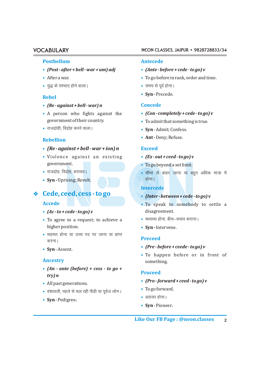### **VOCABULARY**

#### **Posthellum**

- $(Post after + bell war + um) adj$
- After a war.
- युद्ध के पश्चात होने वाला।

#### **Rehel**

- $(Re-against+bell-war)$ n
- A person who fights against the government of their country.
- राजद्रोही, विद्रोह करने वाला।

#### **Rebellion**

- $(Re-against + bell war + ion) n$
- · Violence against an existing government.
- राजद्रोह, विद्रोह, बगावत् ।
- Syn Uprising; Revolt.

### ♦ Cede, ceed, cess - to go

#### **Accede**

- $(Ac \cdot to + cede \cdot to go)v$
- To agree to a request; to achieve a higher position.
- सहमत होना या उच्च पद पर जाना या प्राप्त करना ।
- Syn-Assent.

#### **Ancestry**

- $(An ante (before) + cess to go +$  $trv) n$
- All past generations.
- वंशावली, पहले से चल रही पीढी या पूर्वज लोग।
- Syn-Pedigree.

#### NEON CLASSES, JAIPUR · 9828728833/34

#### **Antecede**

- $(Ante \cdot before \cdot cede \cdot to go)v$
- To go before in rank, order and time.
- समय से पूर्व होना।
- Syn-Precede.

#### **Concede**

- $(Con$ -completely + cede to go) v
- To admit that something is true.
- Syn-Admit; Confess.
- Ant Denv: Refuse.

#### **Exceed**

- $(EX$   $out$  +  $ceed$   $tog$ ) v
- To go beyond a set limit.
- सीमा से बाहर जाना या बहुत अधिक मात्रा में होना।

#### **Intercede**

- $(Inter-between+cede-togo)v$
- . To speak to somebody to settle a disagreement.
- मध्यस्थ होना, बीच–बचाव कराना |
- Syn-Intervene.

### **Preceed**

- $(Pre \cdot before \cdot recede \cdot to go)v$
- To happen before or in front of something.

#### **Proceed**

- $(Pro$ -forward + ceed to go) v
- To go forward.
- अग्रसर होना।
- Syn-Pioneer.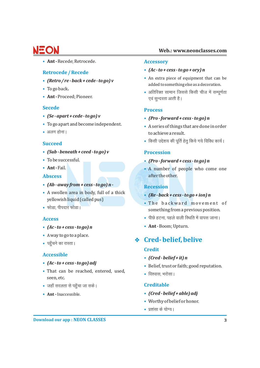**Ant -** Recede; Retrocede. **• Accessory**

### **• Retrocede / Recede**

- $(Retro/re-back+cede-to go)v$
- To go back**. •**
- Ant Proceed; Pioneer.

- *(Se apart + cede to go) v* **•**
- To go apart and become independent.
- अलग होना।

### **Succeed**

- *(Sub beneath + ceed to go) v* **• Procession**
- **• •**
- **• •**

### **Abscess**

- *(Ab away from + cess to go) n -* **• Recession**
- A swollen area in body, full of a thick **(Re back + cess to go + ion) n** yellowish liquid (called pus)
- फोडा, पीपदार फोडा।

### **Access •**

- **Ant** Boom; Upturn. *(Ac to + cess to go) n* **• •**
- Away to go to a place. **•**
- पहँचने का रास्ता |

### **Accessible**

- $(Ac \cdot to \cdot c \cdot cs \cdot to \cdot go)$  adj
- That can be reached, entered, used,<br>• विश्वास, भरोसा। seen, etc.
- tgk¡ ljyrk ls igq¡pk tk ldsA **• Creditable**
- **Ant** Inaccessible.

- *(Ac to + cess to go + ory) n*
- *An extra piece of equipment that can be (Retro / re back + cede to go) v* added to something else as a decoration.

**Web.: www.neonclasses.com**

• अतिरिक्त सामान जिससे किसी चीज में सम्पूर्णता एवं सुन्दरता आती है।

### **Secede Process**

- *(Pro forward + cess to go) n* **•**
- To go apart and become independent. A series of things that are done in order **•** to achieve a result.
	- किसी उद्देशय की पूर्ति हेतु किये गये विविध कार्य।

- $\cdot$  (Pro forward + cess to go) n
- A number of people who come one after the other.

- $(Re \cdot back + cess \cdot to go + ion)n$
- . The backward movement of something from a previous position.
- पीछे हटना, पहले वाली स्थिति में वापस जाना।
- 

### <sup>v</sup> **Cred- belief, belive •**

### **Credit**

- *(Cred belief + it) n* **•**
- *(Ac to + cess to go) adj* extending the Belief, trust or faith; good reputation.
	- विश्वास, भरोसा ।

- **•** (Cred belief + able) adj
- Worthy of belief or honor. **•**
- प्रशंसा के योग्य।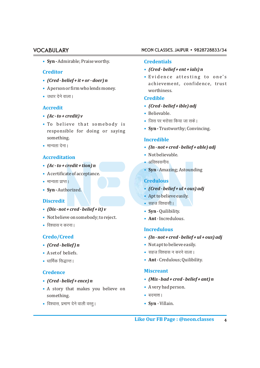**Syn -** Admirable; Praise worthy. **• Credentials**

#### **Creditor**

- *(Cred belief + it + or doer) n* **•**
- A person or firm who lends money. worthiness. **•**
- m/kkj nsus okykA **• Credible**

#### **• Accredit**

- Believable. *(Ac to + credit) v* **•**
- . To believe that somebody is responsible for doing or saying something.
- **• •**

### **Accreditation**

- *(Ac to + credit + tion) n* **•**
- A certificate of acceptance. **•**
- ekU;rk izkIrA **• Credulous**
- Syn-Authorized.

### **Discredit**

- *(Dis not + cred belief + it) v* **Syn**  Quilibility. **•**
- Not believe on somebody; to reject. **Ant** Incredulous.
- विश्वास न करना ।

### **Credo/Creed •**

- (Cred-belief) n
- **• •**
- /kkfeZd fl)kUrA **• •**

- (Cred-belief+ence) n
- A story that makes you believe on **•** A very bad person. something.
- fo'okl] izek.k nsus okyh oLrqA **Syn** Villain. **• •**

#### VOCABULARY NEON CLASSES, JAIPUR • 9828728833/34

- *(Cred belief + ent + ials) n* **•**
- **•** Evidence attesting to one's achievement, confidence, trust

- *(Cred belief + ible) adj*
- Believable.
- जिस पर भरोसा किया जा सके |
- **Syn** Trustworthy; Convincing. **•**

### **Incredible**

- (In not + cred belief + able) adj
- Not believable.
- अविश्वसनीय
- **Syn**  Amazing; Astounding **•**

- **•** (Cred belief + ul + ous) adj
- Apt to believe easily. **•**
- सहज विश्वासी |
- Syn-Quilibility.
- 

### **Incredulous**

- *(In not + cred belief + ul + ous) adj*
- Not apt to believe easily.
- $\bullet$  सहज विश्वास न करने वाला ।
- **Ant** Credulous; Quilibility.

### **Miscreant Credence**

- *(Mis bad + cred belief + ant) n (Cred belief + ence) n* **•**
	- A very bad person.
	- **•**
	-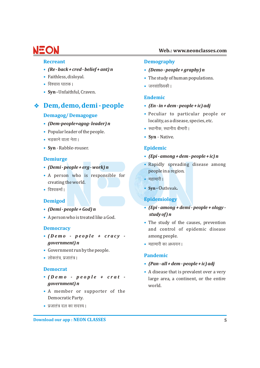#### **Recreant**

- $(Re \cdot back + cred \cdot belief + ant) n$
- Faithless, disloyal.
- विश्वास घातक।
- · Syn Unfaithful, Craven.

### Dem, demo, demi - people

#### **Demagog/Demagogue**

- (Dem-people+agog-leader) n
- Popular leader of the people.
- भडकाने वाला नेता।
- Syn Rabble-rouser.

### **Demiurge**

- (Demi people + erg work)  $n$
- A person who is responsible for creating the world.
- $\bullet$  विश्वकर्मा ।

### **Demigod**

- (Demi people + God)  $n$
- A person who is treated like a God.

### **Democracy**

- $\bullet$  (Demo people + cracy government) n
- Government run by the people.
- लोकतंत्र प्रजातंत्र।

### **Democrat**

- $\bullet$  (Demo people + crat government) n
- A member or supporter of the Democratic Party.
- प्रजातंत्र दल का सदस्य।

#### Web.: www.neonclasses.com

#### **Demography**

- (Demo-people + graphy)  $n$
- The study of human populations.
- जनसांख्यिकी।

### **Endemic**

- $(En in + dem people + ic)$  adj
- Peculiar to particular people or locality, as a disease, species, etc.
- स्थानीक स्थानीय बीमारी ।
- Syn Native.

### **Epidemic**

- (Epi among + dem people + ic)  $n$
- Rapidly spreading disease among people in a region.
- महामारी |
- Syn-Outbreak.

### **Epidemiology**

- (Epi among + demi people + ology study of) n
- The study of the causes, prevention and control of epidemic disease among people.
- महामारी का अध्ययन।

### **Pandemic**

- $(Pan \cdot all + dem \cdot people + ic)$  adj
- A disease that is prevalent over a very large area, a continent, or the entire world.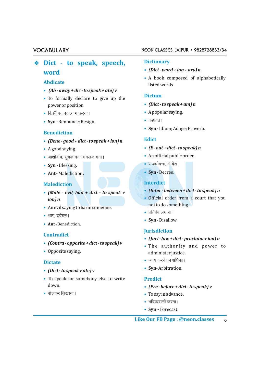# v **Dict Dictionary** - **to speak, speech, • word**

#### **Abdicate**

- **•** *(Ab away + dic to speak + ate) v*
- To formally declare to give up the **Dictum •** poweror position. *(Dict - to speak + um) n*
- **• •** A popular saying. fdlh in dk R;kx djukA
- Syn Renounce; Resign.

#### **Benediction**

- **Edict •** *(Bene good + dict to speak + ion) n*
- **• •**
- आशीर्वाद, शुभकामना, मंगलकामना । '
- Syn Blessing.
- **• • Ant Syn** Decree. Malediction**.**

### **Malediction Interdict**

- **•** *(Inter between + dict to speak) n (Male evil, bad <sup>+</sup> dict - to speak <sup>+</sup>*
- An evil saying to harm someone. https://www.port.com/en/organism.com/en/organism.com/en/organism.com/en/organism
- श्राप, दुर्वचन ।
- **• Ant** Benediction**.**

#### **Contradict**

- **•** *(Contra opposite + dict to speak) v*
- Opposite saying.

### **• Dictate**

- **•** *(Dict to speak + ate) v*
- To speak for somebody else to write **Predict •** down. *(Pre - before + dict - to speak) v*
- **• •**

#### VOCABULARY NEON CLASSES, JAIPUR • 9828728833/34

- *(Dict word + ion + ary) n*
- **•** A book composed of alphabetically listed words.

- 
- 
- 
- **• Syn -**Idiom; Adage; Proverb.

- $\bullet$  (*E out + dict to speak*) *n*
- 
- $\cdot$  राजघोषणा, आदेश।
- 

- (Inter between + dict to speak) n
- *•* Official order from a court that you *ion) n* 
	- प्रतिबंध लगाना |
	- **• Syn -**Disallow.

#### **Jurisdiction**

- **•** *(Juri law + dict proclaim + ion) n*
- The authority and power to administer justice.
- $\bullet$  न्याय करने का अधिकार
- **• Syn** Arbitration**.**

- 
- $\bullet$  To say in advance.
- भविष्यवाणी करना |
- **• Syn -** Forecast.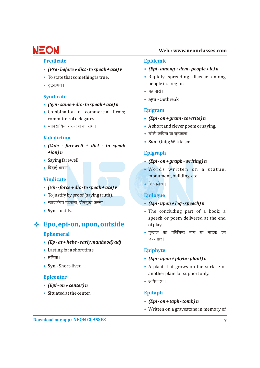#### **Predicate Epidemic**

- *(Pre before + dict to speak + ate) v (Epi among + dem people + ic) n* **• •**
- To state that something is true.
- **•**

### **Syndicate**

- *(Syn same + dic to speak + ate) n* **•**
- Combination of commercial firms; **• Epigram** committee of delegates. *(Epi - on + gram - to write) n* **•**
- **• •**

#### **Valediction**

- *(Vale farewell + dict to speak* **•** *+ion) n*
- **• •**
- **• •**

### **Vindicate**

- f'kykys[kA *(Vin force + dic to speak + ate) v* **•**
- Tojustify by proof (saying truth). **• Epilogue**
- U;k;laxr Bgjkuk] nks"keqDr djukA *(Epi upon + log speech) n* **• •**
- Syn-Justify.

### v **Epo**, **epi-on, upon, outside**

#### **• Ephemeral**

- milagkjA *(Ep at + hebe early manhood) adj* **•**
- Lasting for a short time. **• Epiphyte**
- **• •**
- Svn Short-lived.

### **Epicenter**

- *(Epi on + center) n* **•**
- Situated at the center. **• Epitaph**

- 
- Rapidly spreading disease among people in a region.
- महामारी |
- **Syn** Outbreak **•**

- 
- A short and clever poem or saying.
- छोटी कविता या चुटकला |
- **Syn** Quip; Witticism. **•**

#### **Epigraph**

- Saying farewell. *(Epi on + graph writing) n*
- · Words written on a statue, monument, building, etc.
- शिलालेख।

- The concluding part of a book; a speech or poem delivered at the end of play.
- पुस्तक का परिशिष्ठ भाग या नाटक का

- {kf.kdA *(Epi upon + phyte plant) n*
- A plant that grows on the surface of another plant for support only.
- अधिपादप।

- *(Epi on + taph tomb) n* **•**
- Written on a gravestone in memory of **•**

### **Web.: www.neonclasses.com**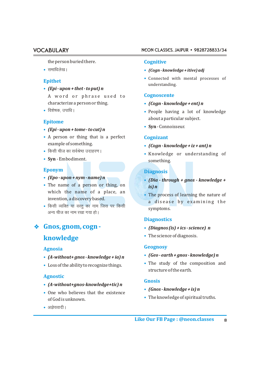the person buried there.

**• •**

### **Epithet**

- *(Epi upon + thet to put) n* **•** A word or phrase used to
- **• •**

### **Epitome**

- *(Epi upon + tome to cut) n* **•**
- A person or thing that is a perfect **• Cognizant** example of something. *(Cogn - knowledge + iz + ant) n* **•**
- किसी चीज का सर्वश्रेष्ठ उदाहरण ।
- **Syn** Embodiment. **•**

- *(Epo upon + nym name) n* **•**
- The name of a person or thing, on *is)n* which the name of a place, an invention, a discovery based.
- किसी व्यक्ति या वस्तु का नाम जिस पर किसी symptoms. अन्य चीज का नाम रखा गया हो।
- v **Gnos, gnom, cogn - •**

### **• knowledge**

- *(Geo earth + gnos knowledge) n (A-without+ gnos knowledge + ia) n* **•**
- 

### **Agnostic**

- *(A-without+gnos-knowledge+tic) n* **•**
- One who believes that the existence **•** The knowledge of spiritual truths. of God is unknown. **•**
- अज्ञेयवादी।

#### VOCABULARY NEON CLASSES, JAIPUR • 9828728833/34

#### **Cognitive**

- lekf/kys[kA *(Cogn knowledge + itive) adj*
- Connected with mental processes of **•** understanding.

### **Cognoscente**

- characterize aperson or thing. *(Cogn knowledge + ent) n* **•**
	- People having a lot of knowledge about a particular subject.
	- **Syn**  Connoisseur. **•**

- 
- fdlh pht dk loZJs"B mnkgj.kA Knowledge or understanding of **•** something.

### **Eponym Diagnosis**

- *(Dia through + gnos knowledge +* **•**
- The process of learning the nature of **•** a disease by examining the

### **Diagnostics**

- *(Diagnos (is) + ics science) n*
- The science of diagnosis.

### **Geognosy Agnosia**

- (Geo earth + gnos knowledge) n
- Loss of the ability to recognize things. **••** The study of the composition and structure of the earth. • The study of the composition and

#### **Gnosis**

- *(Gnos knowledge + is) n* **•**
-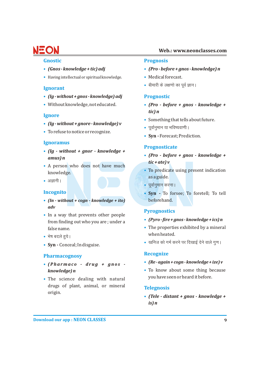#### **Gnostic**

- (Gnos-knowledge + tic) adj
- Having intellectual or spiritual knowledge.

### **Ignorant**

- $(1g without + gnos knowledge) adj$
- · Without knowledge, not educated.

### **Ignore**

- $(1g without + gmore knowledge) v$
- To refuse to notice or recognize.

### **Ignoramus**

- $\int Ig without + gnor knowledge +$ amus) n
- A person who does not have much knowledge.
- $\bullet$  अज्ञानी ।

### **Incognito**

- $(In without + cogn knowledge + ito)$  $\boldsymbol{a}$
- In a way that prevents other people from finding out who you are; under a false name.
- भेष बदले हुये।
- Syn Conceal; In disguise.

### **Pharmacognosy**

- $\bullet$  (Pharmaco  $\cdot$  drug  $+$  gnos  $\cdot$ knowledge) n
- The science dealing with natural drugs of plant, animal, or mineral origin.

#### Web.: www.neonclasses.com

#### **Prognosis**

- (Pro before + gnos knowledge) n
- Medical forecast.
- बीमारी के लक्षणों का पर्व ज्ञान।

### **Prognostic**

- (Pro before + gnos knowledge +  $t$ *ic*)  $n$
- Something that tells about future.
- पर्वानमान या भविष्यवाणी ।
- Syn Forecast; Prediction.

### **Prognosticate**

- (Pro before + gnos knowledge +  $tic + ate$ ) v
- To predicate using present indication as a guide.
- पर्वानुमान करना ।
- · Syn To forsee; To foretell; To tell beforehand.

### **Pyrognostics**

- (Pyro fire + gnos knowledge + ics)  $n$
- The properties exhibited by a mineral when heated.
- खनिज को गर्म करने पर दिखाई देने वाले गण।

### **Recognize**

- $(Re again + cogn knowledge + ize)v$
- To know about some thing because you have seen or heard it before.

### **Telegnosis**

• (Tele - distant + gnos - knowledge +  $is) n$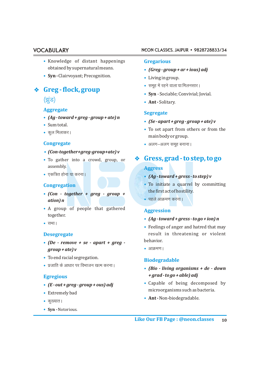- Knowledge of distant happenings **• Gregarious** obtained by supernatural means. *(Greg - group + ar + ious) adj* **•**
- Syn Clairvoyant; Precognition. <br>• Living in group.

# v **Greg - flock, group** ¼>qaM½ **•**

### **Aggregate**

- *(Ag toward + greg group + ate) n* **•**
- Sum total. **•**
- कुल मिलाकर |

#### **Congregate •**

- *(Con-together+greg-group+ate) v* **•**
- To gather into a crowd, group, or assembly.
- एकत्रित होना या करना।

#### **Congregation •**

- *(Con together + greg group +* **•** *ation) n* igys variation and the set of the set of the set of the set of the set of the set of the set of the set
- A group of people that gathered **• Aggression** together.
- सभा।

#### **Desegregate**

- *(De remove + se apart + greg -* **•** *group* + *ate*) *v*
- To end racial segregation. **•**
- प्रजाति के आधार पर विभाजन खत्म करना ।

#### **Egregious**

- (E out + greg group + ous) adj
- Extremely bad
- कुख्यात।
- **Syn -**Notorious. **•**

#### VOCABULARY NEON CLASSES, JAIPUR • 9828728833/34

- 
- Living in group.
- समूह में रहने वाला या मिलनसार |
- **Syn** Sociable; Convivial; Jovial. **•**
- **Ant Solitary.**

#### **Segregate**

- *(Se apart + greg group + ate) v* **•**
- To set apart from others or from the **•** main body or group.
- $\bullet$  अलग-अलग समूह बनाना।

### **•** v **Gress, grad- to step, to go Aggress**

- एकत्रित होना या करना।<br>स्रोत को सामान करना । स्रोत को सामान करता है **and a fact of the step of the step of the step of the step of the s** 
	- To initiate a quarrel by committing the first act of hostility.
	-

- *(Ag toward + gress to go + ion) n* **•**
- Feelings of anger and hatred that may **•** result in threatening or violent behavior.
- आक्रमण ।

#### **Biodegradable**

- iztkfr ds vk/kkj ij foHkktu [kRe djukA *(Bio living organisms + de down* **•** *+ grad - to go + able) adj*
- Capable of being decomposed by *(E out + greg group + ous) adj* **•** microorganisms such as bacteria.
	- **Ant** Non-biodegradable.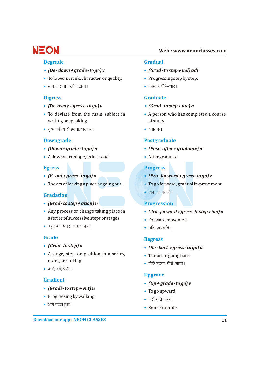### **Web.: www.neonclasses.com**

#### **Degrade Gradual**

- *(De down + grade to go) v (Grad to step + ual) adj* **• •**
- To lower in rank, character, or quality. **••** Progressing step by step.
- Ekku] in ;k ntkZ ?kVkukA Øfed] /khjs&/khjsA **• •**

- *(Di away + gress to go) v (Grad to step + ate) n* **• •**
- writing or speaking. The study of study. • To deviate from the main subject in
- eq[; fo"k; ls gVuk] HkVdukA LukrdA **• •**

- (Down + grade to go) n
- A downward slope, as in a road. Aftergraduate. **• •**

- $(E$ -out + gress to go) n
- The act of leaving a place or going out.

#### **Gradation**

- *(Grad to step + ation) n* **• Progression**
- a series of successive steps or stages. • Any process or change taking place in
- vuqØe] mrkj&p<ko] ØeA Xkfr] vxzxfrA **• •**

- *(Grad to step) n*
- A stage, step, or position in a series, **••** The act of going back. order, or ranking. ihNs gVuk] ihNs tkukA **•**
- दर्जा, वर्ग, श्रेणी।

### **Gradient**

- *(Gradi to step + ent) n* **•**
- Progressing by walking. **included by a starting of the contract of the contract of the Progressing by walking.**
- आगे बढता हुआ।

- 
- 
- 

#### **Digress Graduate**

- 
- A person who has completed a course
- 

#### **Downgrade Postgraduate**

- *(Down + grade to go) n (Post after + graduate) n*
- 

#### **Egress Progress**

- *(E out + gress to go) n (Pro forward + gress to go) v*
- $\bullet$  To go forward, gradual improvement.
- विकास, प्रगति ।

- Any process or change taking place in *(Pro-forward+gress -to step + ion) n*
- Forward movement.
- 

### **Grade Regress**

- *(Grad to step) n (Re back + gress to go) n*
- 
- 

#### **Upgrade**

- *(Up + grade to go) v* **•**
- To go upward. **•**
- **•**
- आगे बढता हुआ।<br> **Syn -** Promote.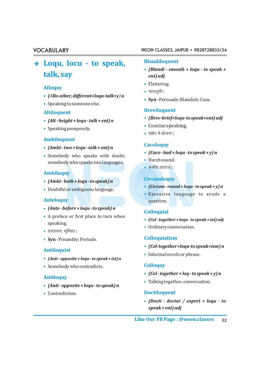# **Blandiloquent** v **Loqu, locu - to speak, talk, say**

### **Alloquy**

- **•** *(Allo-other,different+loqu-talk+y) n*
- **•** Speaking to someone else.

- (Alt height + loqu talk + ent) n
- **••** Concise speaking. Speaking pompously. • Speaking pompously.

### **Ambiloquent**

- **•** *(Ambi two + loqu talk + ent) n*
- **•** Somebody who speaks with doubt; somebody who speaks two languages.

#### **Ambiloquy**

- **•** *(Ambi both + loqu to speak) n*
- **•** Doubtful or ambiguous language.

#### **Anteloquy**

- **•** *(Ante before + loqu to speak) n*
- A preface or first place to turn when **•** A preface or first place to turn when *(Col - together + loqu - to speak + ial) adj* speaking.
- प्रस्तावना, भूमिका |
- **• Colloquialism Syn** Preamble; Prelude.

#### **Antiloquist**

- **•** *(Anti opposite + loqu to speak + ist) n*
- **• Colloquy** Somebody who contradicts.

#### **Antiloquy**

**•** *(Anti - opposite + loqu - to speak) n*

#### • Contradiction.

#### VOCABULARY NEON CLASSES, JAIPUR • 9828728833/34

- **•** *(Blandi smooth + loqu to speak + ent) adj*
- **•** Flattering.
- चापलूसी |
- **• Syn -**Persuade;Blandish;Coax.

### **Breviloquent Altiloquent**

- **•** *(Brev-brief+loqu-to speak+ent) adj (Alt height + loqu talk + ent) n*
	-
	- संक्षेप में बोलना।

#### **Cacoloquy**

- **•** *(Caco bad + loqu to speak + y) n*
- Harsh sound.
- कर्कश आवाज |

### **Circumloquy**

- **•** *(Circum round + loqu to speak + y) n*
- **•** Excessive language to evade a question.

### **Colloquial**

- 
- **•** Ordinary conversation.

- **•** *(Col-together+loqu-to speak+ism) n*
- **•** Informal words or phrase.

- **•** *(Col together + loq to speak + y) n*
- **•** Talking together; conversation.

#### **• Doctiloquent**

**•** *(Docti - doctor / expert + loqu - to speak + ent) adj*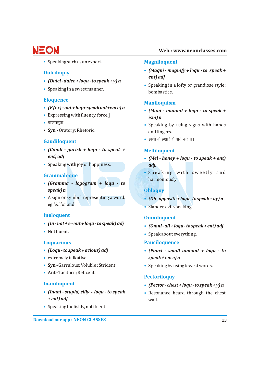### **Web.: www.neonclasses.com**

Speaking such as an expert. **• Magniloquent**

### **• Dulciloquy**

- *(Dulci dulce + loqu to speak + y) n* **•**
- Speaking in a sweet manner. **•**

- *(E (ex) out + loqu-speak out+ence) n* **•**
- Expressing with fluency, force.] *ism) n* **•**
- **•**
- **Syn -** Oratory; Rhetoric. **and fingers.**

### **• Gaudiloquent**

- *(Gaudi garish + loqu to speak +* **• Melliloquent**
- Speaking with joy or happiness. *adj.* **•**

### **Grammaloque**

- *(Gramma logogram + loqu to* **•** *speak) n*
- eg. '&' for and. Slander, evil speaking. **•** • A sign or symbol representing a word.

- (In not + e out + loqu to speak) adj
- Not fluent. **•**

- (Loqu to speak + acious) adj
- extremely talkative. *speak + ence) n* **•**
- Syn Garrulous; Voluble ; Strident.
- Ant Taciturn; Reticent.

### **Inaniloquent •**

- *+ ent) adj* wall. • *(Inani - stupid, silly + loqu - to speak*
- Speaking foolishly, not fluent. **•**

- *(Magni magnify + loqu to speak + ent) adj*
- Speaking in a lofty or grandiose style; **•** bombastice.

### **Eloquence Maniloquism**

- *(Mani manual + loqu to speak +* **•**
- वाकपटुता। The speaking by using signs with hands
	- हाथो के इशारे से बाते करना।

- *ent) adj (Mel honey + loqu to speak + ent)* **•**
	- Speaking with sweetly and harmoniously.

### **Obloquy**

- $\bullet$  (Ob opposite + loqu to speak + uy) n
- 

### **Ineloquent Omniloquent**

- *(In not + e out + loqu to speak) adj (Omni all + loqu to speak + ent) adj* **•**
	- Speak about everything. **•**

### **Loquacious Pauciloquence**

- *(Loqu to speak + acious) adj (Pauci small amount + loqu to*
- Speaking by using fewest words.

### **Pectoriloquy**

- *(Pector chest + loqu to speak + y) n*
- **Resonance heard through the chest**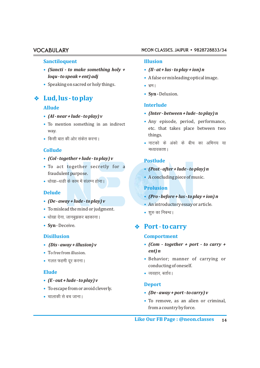#### **Sanctiloquent Illusion**

- *(Sancti to make something holy + (Il at + lus to play + ion) n* **• •**
- Speaking on sacred or holy things.

### v **Lud, lus - to play**

- *(Al near + lude to play) v* **•**
- way.
- things. fdlh ckr dh vksj ladsr djukA **•**

### **Collude**

- *(Col together + lude to play) v* **•**
- To act together secretly for a **•** fraudulent purpose.
- धोखा–धडी के काम में संलग्न होना।

### **Delude**

- *(De away + lude to play) v* **•**
- To mislead the mind or judgment. **•**
- धोखा देना, जानबुझकर बहकाना |
- Syn Deceive.

- (Dis-away + illusion) v
- To free from illusion. *ent) n*
- **•**

### **Elude •**

- *(E out + lude to play) v* **•**
- To escape from or avoid cleverly. **•**
- चालाकी से बच जाना।

#### VOCABULARY NEON CLASSES, JAIPUR • 9828728833/34

- 
- *loqu to speak + ent) adj* A false or misleading optical image. **•**
	-
	- Syn Delusion.

# **Interlude Allude**

- *(Inter between + lude to play) n* **•**
- To mention something in an indirect **•** Any episode, period, performance, etc. that takes place between two • Any episode, period, performance,
	- नाटको के अंको के बीच का अभिनय या मध्यावकाश।

### **Postlude**

- *(Post after + lude to play) n* **•**
- A concluding piece of music. **•**

### **Prolusion**

- *(Pro before + lus to play + ion) n* **•**
- An introductory essay or article. **•**
- शुरु का निबन्ध |

### **•** Port - to carry

### **Disillusion Comportment**

- *(Dis away + illusion) v (Com together + port to carry +*
- Behavior; manner of carrying or xyr Qgeh nwj djukA **•** conducting of oneself.
	- $\bullet$  व्यवहार, बर्ताव।

### **Deport**

- *(De away + port to carry) v* **•**
- To remove, as an alien or criminal, **•** from a country by force.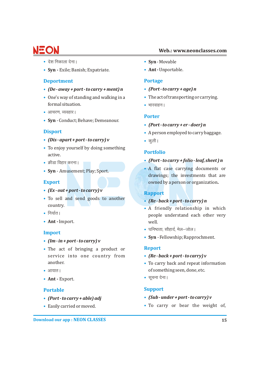# EOL

### **Web.: www.neonclasses.com**

- **• •**
- Syn Exile; Banish; Expatriate. **•• Ant -** Unportable.

### **Deportment Portage**

- *(De away + port to carry + ment) n (Port to carry + age) n* **• •**
- One's way of standing and walking in a **•** The act of transporting or carrying. formal situation.
- आचरण, व्यवहार।
- **Syn** Conduct; Behave; Demeanour. **•**

### **Disport •**

- *(Dis apart + port to carry) v*  $\bullet$  **•** कुली |
- To enjoy yourself by doing something **•** active.
- क्रीडा विहार करना ।
- Syn Amusement; Play; Sport.

### **Export**

- *(Ex out + port to carry) v* **•**
- To sell and send goods to another *Re-back+port-to carry)* country.
- निर्यात।
- Ant **-** Import. well.

### **Import**

- *(Im in + port to carry) v* **•**
- The act of bringing a product or **• Report** service into one country from
- **•**
- Ant Export.

- (Port to carry + able) adj
- **• •**
- **Syn Movable**
- 

- 
- 
- **•**

### **Porter**

- *(Port to carry + er doer) n* **•**
- A person employed to carry baggage.
- 

### **Portfolio**

- *(Port to carry + folio leaf, sheet ) n* ØhMk fogkj djukA **•**
- A flat case carrying documents or **Syn** Amusement; Play; Sport. **•** drawings; the investments that are owned by a person or organization**.**

### **Rapport**

### • (Re - back + port - to carry) n

- A friendly relationship in which **•** people understand each other very
- घनिष्ठता, सौहार्द, मेल–जोल।
- **Syn** Fellowship; Rapprochment. **•**

- $(Re \cdot back + port \cdot to carry) v$
- another. To carry back and repeat information **•** of something seen, done, etc.
	- **•** सूचना देना।

### **Portable Support**

- *(Port to carry + able) adj (Sub under + port to carry) v*
- To carry or bear the weight of,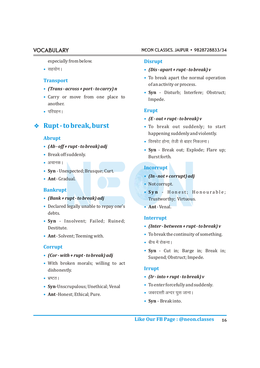especially from below.

**• •**

### **Transport**

- *(Trans across + port to carry) n* **•**
- Carry or move from one place to Impede. another.
- ifjoguA **Erupt •**

### **Rupt-to break, burst**

### **Abrupt**

- *(Ab off + rupt to break) adj* **•**
- Break off suddenly. **••** Burst forth.
- अचानक |
- **Syn** Unexpected; Brusque; Curt. **•**
- Ant Gradual.

### **Bankrupt •**

- *(Bank + rupt to break) adj* Trustworthy; Virtuous.
- Declared legally unable to repay one's **Ant** -Venal. **• •** debts.
- **Syn** Insolvent; Failed; Ruined; **•** *(Inter - between + rupt - to break) v* Destitute. **•**
- Ant Solvent; Teeming with.

### **Corrupt**

- 
- With broken morals; willing to act **•** dishonestly.
- **• •**
- Syn-Unscrupulous; Unethical; Venal **•** To enter forcefully and suddenly.
- tcjnLrh vUnj ?kql tkukA **Ant** -Honest; Ethical; Pure. **•** • Ant-Honest: Ethical: Pure.

#### VOCABULARY NEON CLASSES, JAIPUR • 9828728833/34

#### **Disrupt**

- lg;ksxA *(Dis apart + rupt to break) v*
- To break apart the normal operation **•** of an activity or process.
- **Syn**  Disturb; Interfere; Obstruct; **•**

- *(E out + rupt to break) v* **•**
- To break out suddenly; to start happening suddenly and violently.
- विस्फोट होना, तेजी से बाहर निकलना |
- **Syn**  Break out; Explode; Flare up; **•**

### **Incorrupt**

- *(In not + corrupt) adj* **Ant**  Gradual. **•**
	- Not corrupt. **•**
	- **Syn** Honest; Honourable;
	-

### **Interrupt**

- 
- Tobreak the continuity of something. **Ant**  Solvent; Teeming with. **•**
	- बीच में रोकना |
- **Syn**  Cut in; Barge in; Break in; **•** • *(Cor - with + rupt - to break) adj* Suspend; Obstruct; Impede.

#### **Irrupt**

- *(Ir into + rupt to break) v* Hkz"VrA
	- To enter forcefully and suddenly.
	-
	- **Syn** Break into. **•**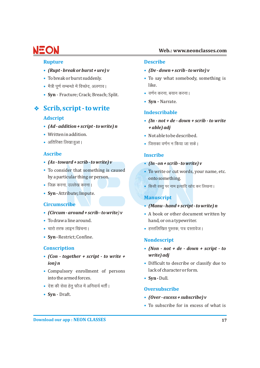- *(Rupt-break or burst + ure)*  $v$
- **• •**
- eS=h like. iw.kZ lEcU/kks esa foPNsn] vyxkoA **•**
- o.kZu djuk] c;ku djukA **Syn** Fracture; Crack; Breach; Split. **• •**

### v **Scrib, script- to write**

#### **Adscript**

- *(Ad addition + script to write) n + able) adj* **•**
- Written in addition.
- **• •**

#### **Ascribe Inscribe**

- *(As toward + scrib to write) v (In on + scrib to write) v* **• •**
- by a particular thing or person. onto something. • To consider that something is caused
- **• •**
- **Syn-** Attribute**;** Impute. **•**

#### **Circumscribe •**

- (Circum around + scrib to write) v
- To draw a line around.
- **• •**
- Syn Restrict; Confine.

#### **Conscription •**

- *write) adj (Con together + script to write +* **•**
- Compulsory enrollment of persons lack of character or form. **•** into the armed forces.
- देश की सेवा हेतु फौज में अनिवार्य भर्ती |
- **Syn** Draft. **•**

#### **Rupture Describe**

- *(Rupt break or burst + ure) v (De down + scrib to write) v*
- $\bullet$  To say what somebody, something is
- 
- **Syn -** Narrate. **•**

### **Indescribable**

- *(In not + de down + scrib to write* **•**
- $\bullet$  Not able to be described.
- $\bullet$  जिसका वर्णन न किया जा सके l

- 
- To write or cut words, your name, etc.
- किसी वस्तु पर नाम इत्यादि खोद कर लिखना ।

### **Manuscript**

- *(Manu hand + script to write) n*
- A book or other document written by hand, or on a typewriter.
- $\bullet$  हस्तलिखित पुस्तक, पत्र दस्तावेज।

#### **Nondescript**

- *(Non not + de down + script to*
- *•* Difficult to describe or classify due to
	- Syn Dull.

#### **Oversubscribe**

- *(Over excess + subscribe) v* **•**
- To subscribe for in excess of what is **•**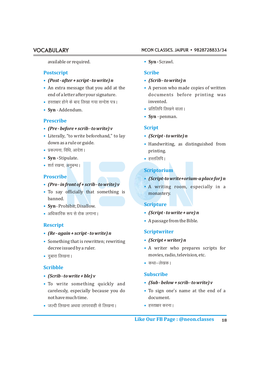#### available or required.

#### **Postscript Scribe**

- *(Post after + script to write) n (Scrib to write) n* **• •**
- An extra message that you add at the
- हस्ताक्षर होने के बाद लिखा गया सन्देश पत्र। **http://web.com**invented.
- 

#### **Prescribe**

- *(Pre before + scrib to write) v* **• Script**
- Literally, "to write beforehand," to lay *(Script to write) n* **• •**
- izdYiuk] fof/k] vkns'kA printing. **•**
- **Syn** Stipulate.  $\bullet$  हस्तलिपि |
- शर्त रखना, अनुबन्ध ।

### **Proscribe •**

- (Pro in front of + scrib to write) v
- To say officially that something is **the monastery.** banned.
- **Syn**  Prohibit; Disallow. **Scripture •**
- **• •**

### **Rescript**

- *(Re again + script to write) n* **Scriptwriter •**
- Something that is rewritten; rewriting *(Script + writer) n* **• •**
- **•**

### **Scribble**

- *(Scrib to write + ble) v* **•**
- To write something quickly and **•• (Sub-below+scrib-towrite)v** carelessly, especially because you do not have much time.  $\qquad \qquad \text{document}.$
- जल्दी लिखना अथवा लापरवाही से लिखना । हस्ताक्षर करना ।
- VOCABULARY NEON CLASSES, JAIPUR 9828728833/34
	- Syn Scrawl.

- 
- $\bullet$  A person who made copies of written end of a letter after your signature.  $\qquad \qquad$  documents before printing was
- **Syn** Addendum. izfrfyfi fy[kus okykA **• •**
	- **Syn** penman. **•**

- 
- down as a rule or guide.  $\qquad \qquad \bullet$  Handwriting, as distinguished from
	-

### **Scriptorium**

- *(Script-to write+orium-a place for) n*
- *(Pro infront of + scrib to write) v* A writing room, especially in a

- *(Script to write + ure) n*
- A passage from the Bible. **•**

- 
- decree issued by a ruler. **•••** A writer who prepares scripts for movies, radio, television, etc.
	- कथा–लेखक ।

### **Subscribe**

- 
- To sign one's name at the end of a
-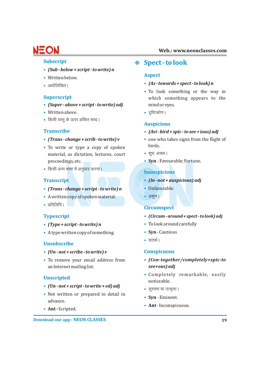- *(Sub below + script to write) n* **•**
- Written below. **•**
- **•**

### **Superscript**

- (Super above + script to write) adj mind or eyes.
- Written above. n`f"Vdks.kA **• •**
- किसी वस्तु के ऊपर अंकित शब्द।

### **Transcribe •**

- *(Trans change + scrib to write)*  $v$
- To write or type a copy of spoken birds. material, as dictation, lectures, court proceedings, etc. **Syn** - Favourable; Fortune. **•**
- किसी अन्य भाषा में अनु<mark>वाद करना |</mark>

### **Transcript •**

- (Trans change + script to write) n Unfavorable.
- A written copy of spoken material. अशुभ।
- प्रतिलिपि ।

### **Typescript •**

- (Type + script to write) n **•** To look around carefully
- A type written copy of something. **•• Syn** Cautious

### **Unsubscribe**

- *(Un not + scribe to write) v* **• Conspicuous**
- an Internet mailing list. *see+ous) adj* • To remove your email address from

### **Unscripted**

- *(Un not + script to write + ed) adj* **•**
- Not written or prepared in detail in  **Syn** Eminent. advance.
- Ant Scripted.

### **Web.: www.neonclasses.com**

## **subscript**  $\bullet$  **Spect-to look**

### **Aspect**

- $\bullet$  *(As towards + spect to look) n*  $\bullet$  *(As towards + spect to look) n* 
	- To look something or the way in **•** which something appears to the
	-

### **Auspicious**

- *(Avi bird + spic to see + ious) adj*
- one who takes signs from the flight of
- शुभ, अच्छा ।
- 

### **Inauspicious**

- *(In not + auspicious) adj*
- 
- 

### **Circumspect**

- *(Circum around + spect to look) adj*
- 
- 
- सतर्क |

- To remove your email address from *(Con-together/completely+spic-to*
- Completely remarkable, easily **•** noticeable.
- सुस्पष्ट या उत्कृष्ट |
- Syn Eminent.
- **Ant**  Inconspicuous. **•**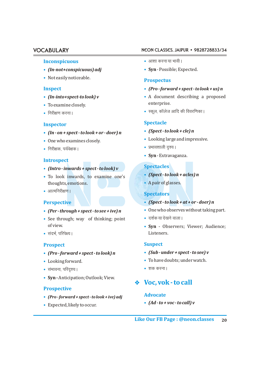#### **Inconspicuous •**

- (In-not+conspicuous) adj **•** Syn Possible; Expected.
- Not easily noticeable. **•**

#### **Inspect •**

- (In-into+spect-to look) v
- enterprise. To examine closely. **•**
- निरीक्षण करना।

- *(Spect to look + cle) n (In on + spect to look + or doer) n* **•**
- One who examines closely.
- निरीक्षक, पर्यवेक्षक।

#### **Introspect**

- *(Intro inwards + spect to look) v* **Spectacles •**
- *(Spect to look + acles) n* To look inwards, to examine one's **•** thoughts, emotions.
- आत्मनिरीक्षण ।

### **Perspective •**

- *(Per through + spect to see + ive) n* One who observes without taking part.
- See through; way of thinking; point दर्शक या देखने वाला।
- संदर्भ, परिपेक्ष्य। बिहार का सामान का सामान का सामान का सामान का सामान का सामान का सामान का सामान का सामान क

### **Prospect Suspect**

- *(Pro forward + spect to look) n (Sub under + spect to see) v* **• •**
- Looking forward.
- laHkkouk] ifjn`';A 'kd djukA **• •**
- **Syn** Anticipation; Outlook; View. **•**

#### **Prospective**

- *(Pro forward + spect to look + ive) adj* **Advocate •**
- Expected, likely to occur. **•**

#### VOCABULARY NEON CLASSES, JAIPUR • 9828728833/34

- आशा करना या भावी।
- 

#### **Prospectus**

- *(Pro forward + spect to look + us) n*
- A document describing a proposed
- Ldwy] dkWyst vkfn dh foojf.kdkA fujh{k.k djukA **•**

### **Spectacle Inspector**

- (Spect to look + cle) n
- Looking large and impressive. One who examines closely. **•**
- izHkko'kkyh n`';A fujh{kd] i;Zos{kdA **•**
	- **Syn**  Extravaganza. **•**

- (Spect to look + acles) n
- A pair of glasses.

#### **Spectators**

- *(Spect to look + at + or doer) n*
- 
- 
- of view. **Syn**  Observers; Viewer; Audience; **•**

- 
- To have doubts; under watch.
- 

### v **Voc, vok - to call**

*(Ad - to + voc - to call) v* **•**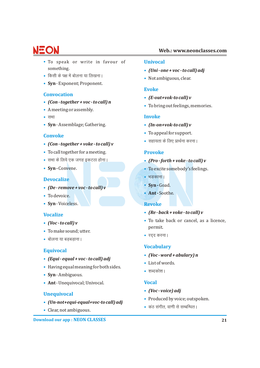- To speak or write in favour of **• Univocal**
- fdlh ds i{k esa cksyuk ;k fy[kukA Not ambiguous, clear. **•**
- **Syn**  Exponent; Proponent. **•**

### **Convocation**

- *(Con together + voc to call) n* **•**
- A meeting or assembly. **•**
- $\bullet$  सभा
- **Syn**  Assemblage; Gathering. *(In-on+vok-to call) v* **• •**

### **Convoke**

- lgk;rk ds fy, izkFkZuk djukA *(Con together + voke to call) v* **•**
- To call together for a meeting. **• Provoke**
- **• •**
- Syn-Convene.

#### **Devocalize**

- *(De remove + voc to call) v* Syn Goad.
- To devoice.
- **Syn**  Voiceless. **• Revoke**

### **• Vocalize**

- $(*Voc to call*)$  $$
- To make sound; utter. **•**
- jn~n djukA Ckksyuk ;k cM+cM+kukA **•**

### **Equivocal**

- *(Equi equal + voc to call) adj* **•**
- Having equal meaning for both sides. **•**
- **Syn**  Ambiguous. **•**
- **Ant**  Unequivocal; Univocal. **• Vocal**

### **Unequivocal**

- *(Un-not+equi-equal+voc-to call) adj* **•**
- Clear, not ambiguous.

**Download our app : NEON CLASSES**

- something. *(Uni one + voc to call) adj* **•**
	- Not ambiguous, clear.

#### **Evoke**

- *(E-out+vok-to call) v* **•**
- To bring out feelings, memories. **•**

### **• Invoke**

- 
- To appeal for support. **•**
- सहायता के लिए प्रार्थना करना।

- $\cdot$  (Pro forth + voke to call) *v*
- **To excite somebody's feelings.**
- भङकाना |
- Syn-Goad.
- **Ant -** Soothe. To devoice. **•**

- *(Re back + voke to call) v*
- To take back or cancel, as a licence, *(Voc to call) v* **•** permit.
	- **•**

### **Vocabulary**

- *(Voc word + abulary) n* **•**
- List of words. **•**
- शब्दकोश।

- *(Voc voice) adj* **•**
- Produced by voice; outspoken. **•**
- daB laxhr] ok.kh ls lEcfU/krA Clear, not ambiguous. **•**

### **Web.: www.neonclasses.com**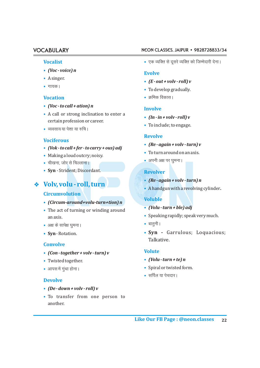#### **Vocalist •**

- *(Voc voice) n* **•**
- A singer. **•**
- गायक।

### **Vocation •**

- *(Voc to call + ation) n* **•**
- A call or strong inclination to enter a **•** certain profession or career.
- व्यवसाय या पेशा या रुचि ।

### **Vociferous**

- *(Vok to call + fer to carry + ous) adj* **•**
- To turn around on an axis. Making a loud outcry; noisy. **•**
- चीखना, जोर से चिल्लाना ।
- **Syn** Strident; Discordant. **• Revolver**

### v **Volv, volu - roll, turn**

#### **Circumvolution**

- *(Circum-around+volu-turn+tion) n* **•**
- The act of turning or winding around **•** (Volu turn + ble) adj Speaking rapidly; speak very much. an axis. **•**
- v{k ds lkis{k ckrquhA ?kqeukA **• •**
- Syn-Rotation.

#### **Convolve**

- *(Con together + volv turn) v* **Volute •**
- Twisted together.
- **• •**

### **Devolve**

#### *(De - down + volv - roll) v* **•**

To transfer from one person to **•** another.

#### VOCABULARY NEON CLASSES, JAIPUR • 9828728833/34

• एक व्यक्ति से दूसरे व्यक्ति को जिम्मेदारी देना।

#### **Evolve**

- *(E out + volv roll) v* **•**
- गायक।<br>To develop gradually.
	- $\bullet$  कमिक विकास ।

### **Involve**

- *(In in + volv roll) v* **•**
- To include; to engage. **•**

#### **Revolve**

- *(Re again + volv turn) v* **•**
- To turn around on an axis.
- अपनी अक्ष पर घुमना।

- *(Re again + volv turn) n* **•**
- A handgun with a revolving cylinder**. •**

### **Voluble**

- (Volu turn + ble) adj
- 
- 
- **Syn -** Garrulous; Loquacious; Talkative.

- *(Volu turn + te) n*
- Spiral or twisted form.
- सर्पिल या पेचदार।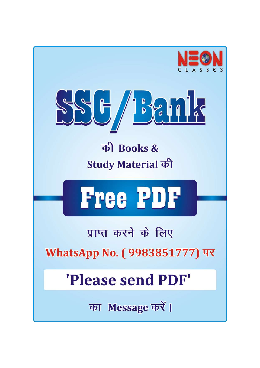